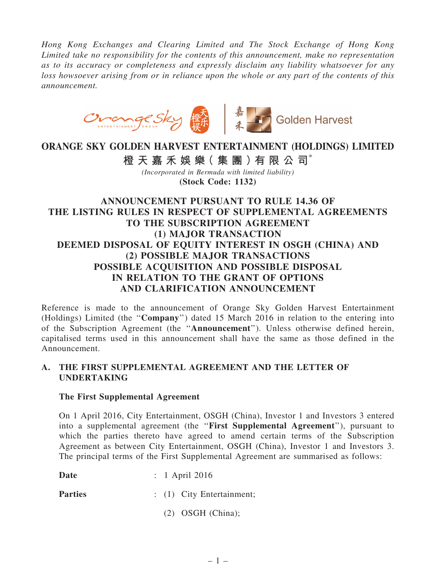*Hong Kong Exchanges and Clearing Limited and The Stock Exchange of Hong Kong Limited take no responsibility for the contents of this announcement, make no representation as to its accuracy or completeness and expressly disclaim any liability whatsoever for any loss howsoever arising from or in reliance upon the whole or any part of the contents of this announcement.*



# ORANGE SKY GOLDEN HARVEST ENTERTAINMENT (HOLDINGS) LIMITED

橙 天 嘉 禾 娛 樂 (集 團 ) 有 限 公 司 $^*$ 

*(Incorporated in Bermuda with limited liability)* (Stock Code: 1132)

## ANNOUNCEMENT PURSUANT TO RULE 14.36 OF THE LISTING RULES IN RESPECT OF SUPPLEMENTAL AGREEMENTS TO THE SUBSCRIPTION AGREEMENT (1) MAJOR TRANSACTION DEEMED DISPOSAL OF EQUITY INTEREST IN OSGH (CHINA) AND (2) POSSIBLE MAJOR TRANSACTIONS POSSIBLE ACQUISITION AND POSSIBLE DISPOSAL IN RELATION TO THE GRANT OF OPTIONS AND CLARIFICATION ANNOUNCEMENT

Reference is made to the announcement of Orange Sky Golden Harvest Entertainment (Holdings) Limited (the ''Company'') dated 15 March 2016 in relation to the entering into of the Subscription Agreement (the ''Announcement''). Unless otherwise defined herein, capitalised terms used in this announcement shall have the same as those defined in the Announcement.

#### A. THE FIRST SUPPLEMENTAL AGREEMENT AND THE LETTER OF UNDERTAKING

#### The First Supplemental Agreement

On 1 April 2016, City Entertainment, OSGH (China), Investor 1 and Investors 3 entered into a supplemental agreement (the "First Supplemental Agreement"), pursuant to which the parties thereto have agreed to amend certain terms of the Subscription Agreement as between City Entertainment, OSGH (China), Investor 1 and Investors 3. The principal terms of the First Supplemental Agreement are summarised as follows:

**Date** : 1 April 2016

Parties : (1) City Entertainment;

(2) OSGH (China);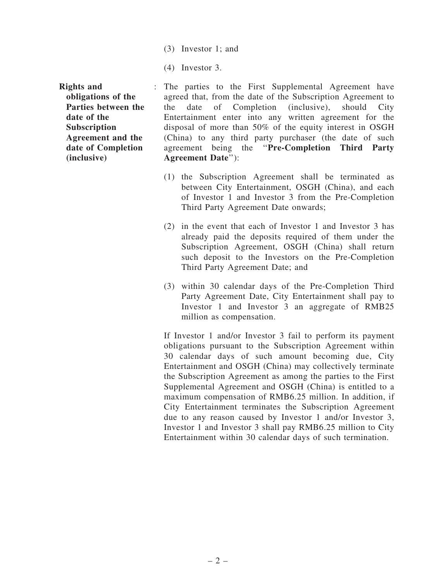- (3) Investor 1; and
- (4) Investor 3.

Rights and obligations of the Parties between the date of the Subscription Agreement and the date of Completion (inclusive)

- : The parties to the First Supplemental Agreement have agreed that, from the date of the Subscription Agreement to the date of Completion (inclusive), should City Entertainment enter into any written agreement for the disposal of more than 50% of the equity interest in OSGH (China) to any third party purchaser (the date of such agreement being the ''Pre-Completion Third Party Agreement Date''):
	- (1) the Subscription Agreement shall be terminated as between City Entertainment, OSGH (China), and each of Investor 1 and Investor 3 from the Pre-Completion Third Party Agreement Date onwards;
	- (2) in the event that each of Investor 1 and Investor 3 has already paid the deposits required of them under the Subscription Agreement, OSGH (China) shall return such deposit to the Investors on the Pre-Completion Third Party Agreement Date; and
	- (3) within 30 calendar days of the Pre-Completion Third Party Agreement Date, City Entertainment shall pay to Investor 1 and Investor 3 an aggregate of RMB25 million as compensation.

If Investor 1 and/or Investor 3 fail to perform its payment obligations pursuant to the Subscription Agreement within 30 calendar days of such amount becoming due, City Entertainment and OSGH (China) may collectively terminate the Subscription Agreement as among the parties to the First Supplemental Agreement and OSGH (China) is entitled to a maximum compensation of RMB6.25 million. In addition, if City Entertainment terminates the Subscription Agreement due to any reason caused by Investor 1 and/or Investor 3, Investor 1 and Investor 3 shall pay RMB6.25 million to City Entertainment within 30 calendar days of such termination.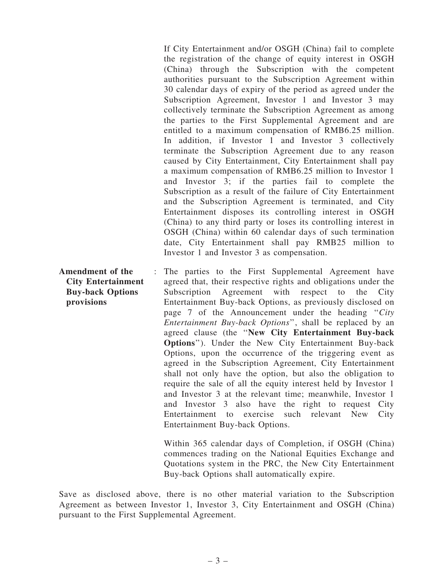If City Entertainment and/or OSGH (China) fail to complete the registration of the change of equity interest in OSGH (China) through the Subscription with the competent authorities pursuant to the Subscription Agreement within 30 calendar days of expiry of the period as agreed under the Subscription Agreement, Investor 1 and Investor 3 may collectively terminate the Subscription Agreement as among the parties to the First Supplemental Agreement and are entitled to a maximum compensation of RMB6.25 million. In addition, if Investor 1 and Investor 3 collectively terminate the Subscription Agreement due to any reason caused by City Entertainment, City Entertainment shall pay a maximum compensation of RMB6.25 million to Investor 1 and Investor 3; if the parties fail to complete the Subscription as a result of the failure of City Entertainment and the Subscription Agreement is terminated, and City Entertainment disposes its controlling interest in OSGH (China) to any third party or loses its controlling interest in OSGH (China) within 60 calendar days of such termination date, City Entertainment shall pay RMB25 million to Investor 1 and Investor 3 as compensation.

City Entertainment Buy-back Options provisions : The parties to the First Supplemental Agreement have agreed that, their respective rights and obligations under the Subscription Agreement with respect to the City Entertainment Buy-back Options, as previously disclosed on page 7 of the Announcement under the heading ''*City Entertainment Buy-back Options*'', shall be replaced by an agreed clause (the ''New City Entertainment Buy-back Options''). Under the New City Entertainment Buy-back Options, upon the occurrence of the triggering event as agreed in the Subscription Agreement, City Entertainment shall not only have the option, but also the obligation to require the sale of all the equity interest held by Investor 1 and Investor 3 at the relevant time; meanwhile, Investor 1 and Investor 3 also have the right to request City Entertainment to exercise such relevant New City Entertainment Buy-back Options.

> Within 365 calendar days of Completion, if OSGH (China) commences trading on the National Equities Exchange and Quotations system in the PRC, the New City Entertainment Buy-back Options shall automatically expire.

Save as disclosed above, there is no other material variation to the Subscription Agreement as between Investor 1, Investor 3, City Entertainment and OSGH (China) pursuant to the First Supplemental Agreement.

Amendment of the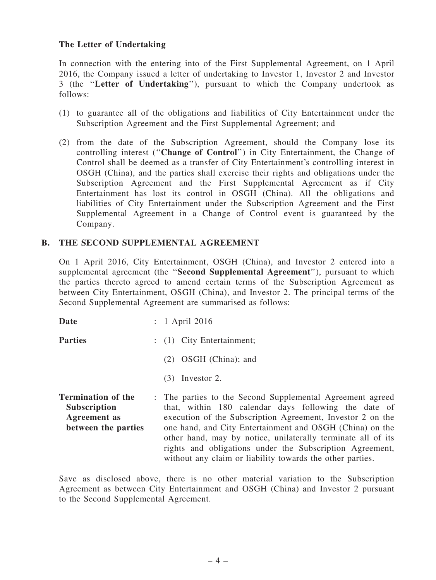#### The Letter of Undertaking

In connection with the entering into of the First Supplemental Agreement, on 1 April 2016, the Company issued a letter of undertaking to Investor 1, Investor 2 and Investor 3 (the ''Letter of Undertaking''), pursuant to which the Company undertook as follows:

- (1) to guarantee all of the obligations and liabilities of City Entertainment under the Subscription Agreement and the First Supplemental Agreement; and
- (2) from the date of the Subscription Agreement, should the Company lose its controlling interest (''Change of Control'') in City Entertainment, the Change of Control shall be deemed as a transfer of City Entertainment's controlling interest in OSGH (China), and the parties shall exercise their rights and obligations under the Subscription Agreement and the First Supplemental Agreement as if City Entertainment has lost its control in OSGH (China). All the obligations and liabilities of City Entertainment under the Subscription Agreement and the First Supplemental Agreement in a Change of Control event is guaranteed by the Company.

#### B. THE SECOND SUPPLEMENTAL AGREEMENT

On 1 April 2016, City Entertainment, OSGH (China), and Investor 2 entered into a supplemental agreement (the "Second Supplemental Agreement"), pursuant to which the parties thereto agreed to amend certain terms of the Subscription Agreement as between City Entertainment, OSGH (China), and Investor 2. The principal terms of the Second Supplemental Agreement are summarised as follows:

**Date** : 1 April 2016 Parties : (1) City Entertainment; (2) OSGH (China); and (3) Investor 2. Termination of the Subscription : The parties to the Second Supplemental Agreement agreed

Agreement as between the parties that, within 180 calendar days following the date of execution of the Subscription Agreement, Investor 2 on the one hand, and City Entertainment and OSGH (China) on the other hand, may by notice, unilaterally terminate all of its rights and obligations under the Subscription Agreement, without any claim or liability towards the other parties.

Save as disclosed above, there is no other material variation to the Subscription Agreement as between City Entertainment and OSGH (China) and Investor 2 pursuant to the Second Supplemental Agreement.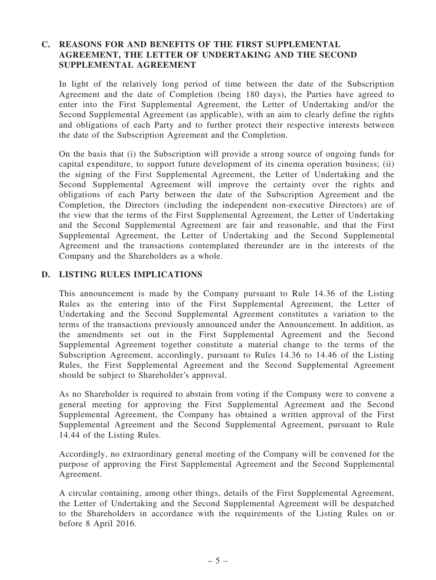### C. REASONS FOR AND BENEFITS OF THE FIRST SUPPLEMENTAL AGREEMENT, THE LETTER OF UNDERTAKING AND THE SECOND SUPPLEMENTAL AGREEMENT

In light of the relatively long period of time between the date of the Subscription Agreement and the date of Completion (being 180 days), the Parties have agreed to enter into the First Supplemental Agreement, the Letter of Undertaking and/or the Second Supplemental Agreement (as applicable), with an aim to clearly define the rights and obligations of each Party and to further protect their respective interests between the date of the Subscription Agreement and the Completion.

On the basis that (i) the Subscription will provide a strong source of ongoing funds for capital expenditure, to support future development of its cinema operation business; (ii) the signing of the First Supplemental Agreement, the Letter of Undertaking and the Second Supplemental Agreement will improve the certainty over the rights and obligations of each Party between the date of the Subscription Agreement and the Completion, the Directors (including the independent non-executive Directors) are of the view that the terms of the First Supplemental Agreement, the Letter of Undertaking and the Second Supplemental Agreement are fair and reasonable, and that the First Supplemental Agreement, the Letter of Undertaking and the Second Supplemental Agreement and the transactions contemplated thereunder are in the interests of the Company and the Shareholders as a whole.

#### D. LISTING RULES IMPLICATIONS

This announcement is made by the Company pursuant to Rule 14.36 of the Listing Rules as the entering into of the First Supplemental Agreement, the Letter of Undertaking and the Second Supplemental Agreement constitutes a variation to the terms of the transactions previously announced under the Announcement. In addition, as the amendments set out in the First Supplemental Agreement and the Second Supplemental Agreement together constitute a material change to the terms of the Subscription Agreement, accordingly, pursuant to Rules 14.36 to 14.46 of the Listing Rules, the First Supplemental Agreement and the Second Supplemental Agreement should be subject to Shareholder's approval.

As no Shareholder is required to abstain from voting if the Company were to convene a general meeting for approving the First Supplemental Agreement and the Second Supplemental Agreement, the Company has obtained a written approval of the First Supplemental Agreement and the Second Supplemental Agreement, pursuant to Rule 14.44 of the Listing Rules.

Accordingly, no extraordinary general meeting of the Company will be convened for the purpose of approving the First Supplemental Agreement and the Second Supplemental Agreement.

A circular containing, among other things, details of the First Supplemental Agreement, the Letter of Undertaking and the Second Supplemental Agreement will be despatched to the Shareholders in accordance with the requirements of the Listing Rules on or before 8 April 2016.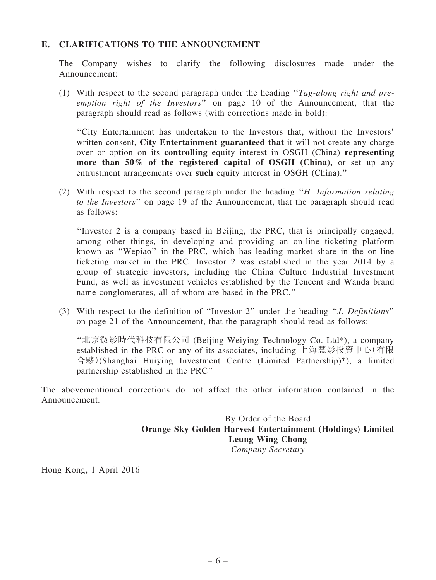#### E. CLARIFICATIONS TO THE ANNOUNCEMENT

The Company wishes to clarify the following disclosures made under the Announcement:

(1) With respect to the second paragraph under the heading ''*Tag-along right and preemption right of the Investors*'' on page 10 of the Announcement, that the paragraph should read as follows (with corrections made in bold):

''City Entertainment has undertaken to the Investors that, without the Investors' written consent, City Entertainment guaranteed that it will not create any charge over or option on its controlling equity interest in OSGH (China) representing more than 50% of the registered capital of OSGH (China), or set up any entrustment arrangements over such equity interest in OSGH (China).''

(2) With respect to the second paragraph under the heading ''*H. Information relating to the Investors*'' on page 19 of the Announcement, that the paragraph should read as follows:

''Investor 2 is a company based in Beijing, the PRC, that is principally engaged, among other things, in developing and providing an on-line ticketing platform known as ''Wepiao'' in the PRC, which has leading market share in the on-line ticketing market in the PRC. Investor 2 was established in the year 2014 by a group of strategic investors, including the China Culture Industrial Investment Fund, as well as investment vehicles established by the Tencent and Wanda brand name conglomerates, all of whom are based in the PRC.''

(3) With respect to the definition of ''Investor 2'' under the heading ''*J. Definitions*'' on page 21 of the Announcement, that the paragraph should read as follows:

''北京微影時代科技有限公司 (Beijing Weiying Technology Co. Ltd\*), a company established in the PRC or any of its associates, including 上海慧影投資中心(有限 合夥)(Shanghai Huiying Investment Centre (Limited Partnership)\*), a limited partnership established in the PRC''

The abovementioned corrections do not affect the other information contained in the Announcement.

> By Order of the Board Orange Sky Golden Harvest Entertainment (Holdings) Limited Leung Wing Chong *Company Secretary*

Hong Kong, 1 April 2016